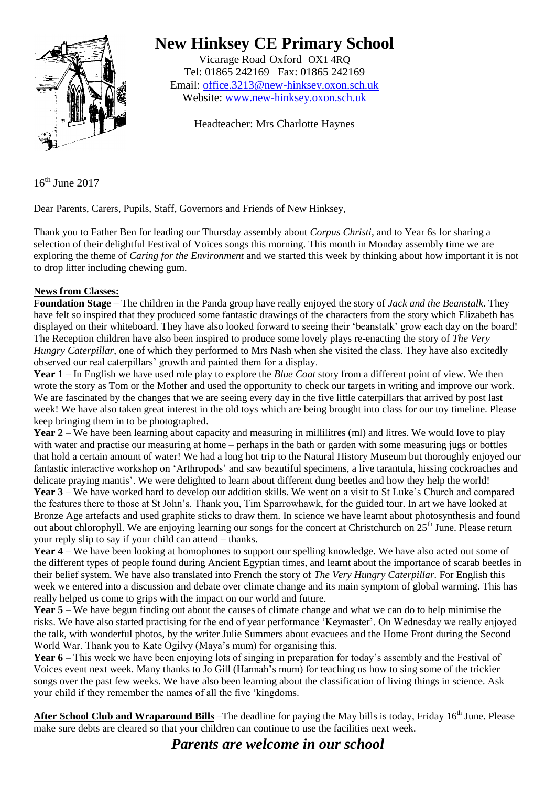

# **New Hinksey CE Primary School**

Vicarage Road Oxford OX1 4RQ Tel: 01865 242169 Fax: 01865 242169 Email: [office.3213@new-hinksey.oxon.sch.uk](mailto:office.3213@new-hinksey.oxon.sch.uk) Website: [www.new-hinksey.oxon.sch.uk](http://www.new-hinksey.oxon.sch.uk/)

Headteacher: Mrs Charlotte Haynes

16<sup>th</sup> June 2017

Dear Parents, Carers, Pupils, Staff, Governors and Friends of New Hinksey,

Thank you to Father Ben for leading our Thursday assembly about *Corpus Christi*, and to Year 6s for sharing a selection of their delightful Festival of Voices songs this morning. This month in Monday assembly time we are exploring the theme of *Caring for the Environment* and we started this week by thinking about how important it is not to drop litter including chewing gum.

## **News from Classes:**

**Foundation Stage** – The children in the Panda group have really enjoyed the story of *Jack and the Beanstalk*. They have felt so inspired that they produced some fantastic drawings of the characters from the story which Elizabeth has displayed on their whiteboard. They have also looked forward to seeing their 'beanstalk' grow each day on the board! The Reception children have also been inspired to produce some lovely plays re-enacting the story of *The Very Hungry Caterpillar*, one of which they performed to Mrs Nash when she visited the class. They have also excitedly observed our real caterpillars' growth and painted them for a display.

**Year 1** – In English we have used role play to explore the *Blue Coat* story from a different point of view. We then wrote the story as Tom or the Mother and used the opportunity to check our targets in writing and improve our work. We are fascinated by the changes that we are seeing every day in the five little caterpillars that arrived by post last week! We have also taken great interest in the old toys which are being brought into class for our toy timeline. Please keep bringing them in to be photographed.

**Year 2** – We have been learning about capacity and measuring in millilitres (ml) and litres. We would love to play with water and practise our measuring at home – perhaps in the bath or garden with some measuring jugs or bottles that hold a certain amount of water! We had a long hot trip to the Natural History Museum but thoroughly enjoyed our fantastic interactive workshop on 'Arthropods' and saw beautiful specimens, a live tarantula, hissing cockroaches and delicate praying mantis'. We were delighted to learn about different dung beetles and how they help the world! **Year 3** – We have worked hard to develop our addition skills. We went on a visit to St Luke's Church and compared the features there to those at St John's. Thank you, Tim Sparrowhawk, for the guided tour. In art we have looked at Bronze Age artefacts and used graphite sticks to draw them. In science we have learnt about photosynthesis and found out about chlorophyll. We are enjoying learning our songs for the concert at Christchurch on 25<sup>th</sup> June. Please return your reply slip to say if your child can attend – thanks.

**Year 4** – We have been looking at homophones to support our spelling knowledge. We have also acted out some of the different types of people found during Ancient Egyptian times, and learnt about the importance of scarab beetles in their belief system. We have also translated into French the story of *The Very Hungry Caterpillar.* For English this week we entered into a discussion and debate over climate change and its main symptom of global warming. This has really helped us come to grips with the impact on our world and future.

**Year 5** – We have begun finding out about the causes of climate change and what we can do to help minimise the risks. We have also started practising for the end of year performance 'Keymaster'. On Wednesday we really enjoyed the talk, with wonderful photos, by the writer Julie Summers about evacuees and the Home Front during the Second World War. Thank you to Kate Ogilvy (Maya's mum) for organising this.

**Year 6** – This week we have been enjoying lots of singing in preparation for today's assembly and the Festival of Voices event next week. Many thanks to Jo Gill (Hannah's mum) for teaching us how to sing some of the trickier songs over the past few weeks. We have also been learning about the classification of living things in science. Ask your child if they remember the names of all the five 'kingdoms.

After School Club and Wraparound Bills – The deadline for paying the May bills is today, Friday 16<sup>th</sup> June. Please make sure debts are cleared so that your children can continue to use the facilities next week.

*Parents are welcome in our school*